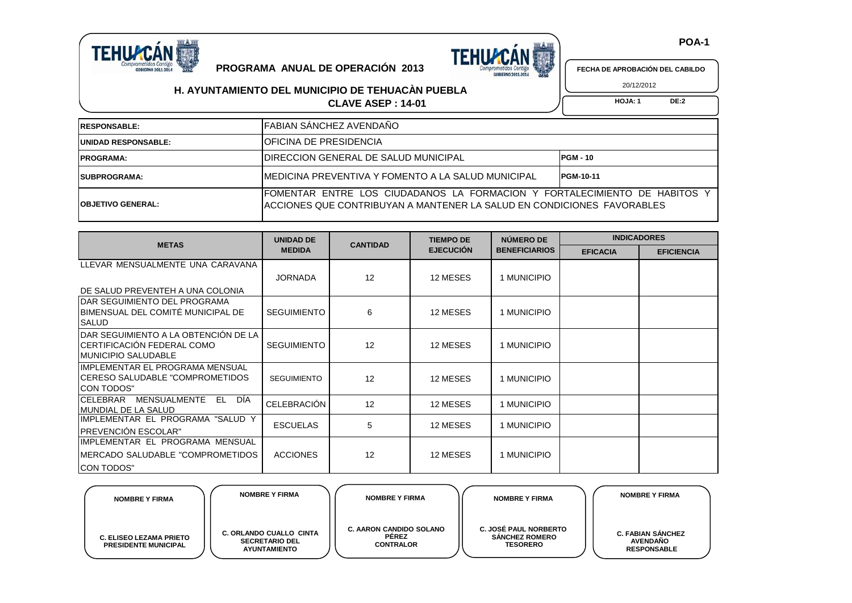

**PROGRAMA ANUAL DE OPERACIÓN 2013**

**H. AYUNTAMIENTO DEL MUNICIPIO DE TEHUACÀN PUEBLA**



 **POA-1**

**FECHA DE APROBACIÓN DEL CABILDO** 20/12/2012

**CLAVE ASEP : 14-01 HOJA: 1** DE:2

## **RESPONSABLE: UNIDAD RESPONSABLE: PROGRAMA: SUBPROGRAMA: OBJETIVO GENERAL:** FOMENTAR ENTRE LOS CIUDADANOS LA FORMACION Y FORTALECIMIENTO DE HABITOS Y ACCIONES QUE CONTRIBUYAN A MANTENER LA SALUD EN CONDICIONES FAVORABLES MEDICINA PREVENTIVA Y FOMENTO A LA SALUD MUNICIPAL **PGM-10-11** DIRECCION GENERAL DE SALUD MUNICIPAL **PGM - 10** FABIAN SÁNCHEZ AVENDAÑO OFICINA DE PRESIDENCIA

| <b>METAS</b>                                                                                        | <b>UNIDAD DE</b>   | <b>CANTIDAD</b> | <b>TIEMPO DE</b> | NÚMERO DE            | <b>INDICADORES</b> |                   |  |
|-----------------------------------------------------------------------------------------------------|--------------------|-----------------|------------------|----------------------|--------------------|-------------------|--|
|                                                                                                     | <b>MEDIDA</b>      |                 | <b>EJECUCIÓN</b> | <b>BENEFICIARIOS</b> | <b>EFICACIA</b>    | <b>EFICIENCIA</b> |  |
| LLEVAR MENSUALMENTE UNA CARAVANA                                                                    |                    |                 |                  |                      |                    |                   |  |
|                                                                                                     | <b>JORNADA</b>     | 12              | 12 MESES         | 1 MUNICIPIO          |                    |                   |  |
| DE SALUD PREVENTEH A UNA COLONIA                                                                    |                    |                 |                  |                      |                    |                   |  |
| IDAR SEGUIMIENTO DEL PROGRAMA<br>BIMENSUAL DEL COMITÉ MUNICIPAL DE<br><b>SALUD</b>                  | <b>SEGUIMIENTO</b> | 6               | 12 MESES         | 1 MUNICIPIO          |                    |                   |  |
| IDAR SEGUIMIENTO A LA OBTENCIÓN DE LA<br>CERTIFICACIÓN FEDERAL COMO<br><b>I</b> MUNICIPIO SALUDABLE | <b>SEGUIMIENTO</b> | 12              | 12 MESES         | 1 MUNICIPIO          |                    |                   |  |
| IIMPLEMENTAR EL PROGRAMA MENSUAL<br>ICERESO SALUDABLE "COMPROMETIDOS<br><b>CON TODOS"</b>           | <b>SEGUIMIENTO</b> | 12              | 12 MESES         | 1 MUNICIPIO          |                    |                   |  |
| DÍA<br><b>CELEBRAR</b><br>MENSUALMENTE<br>EL<br><b>MUNDIAL DE LA SALUD</b>                          | CELEBRACIÓN        | 12              | 12 MESES         | 1 MUNICIPIO          |                    |                   |  |
| IMPLEMENTAR EL PROGRAMA "SALUD Y<br><b>IPREVENCIÓN ESCOLAR"</b>                                     | <b>ESCUELAS</b>    | 5               | 12 MESES         | 1 MUNICIPIO          |                    |                   |  |
| IIMPLEMENTAR EL PROGRAMA MENSUAL<br>IMERCADO SALUDABLE "COMPROMETIDOS<br><b>CON TODOS"</b>          | <b>ACCIONES</b>    | 12              | 12 MESES         | 1 MUNICIPIO          |                    |                   |  |

| <b>NOMBRE Y FIRMA</b>                                         | <b>NOMBRE Y FIRMA</b>                                                          | <b>NOMBRE Y FIRMA</b>                                              | <b>NOMBRE Y FIRMA</b>                                                    | <b>NOMBRE Y FIRMA</b>                                             |
|---------------------------------------------------------------|--------------------------------------------------------------------------------|--------------------------------------------------------------------|--------------------------------------------------------------------------|-------------------------------------------------------------------|
| <b>C. ELISEO LEZAMA PRIETO</b><br><b>PRESIDENTE MUNICIPAL</b> | <b>C. ORLANDO CUALLO CINTA</b><br><b>SECRETARIO DEL</b><br><b>AYUNTAMIENTO</b> | <b>C. AARON CANDIDO SOLANO</b><br><b>PEREZ</b><br><b>CONTRALOR</b> | <b>C. JOSÉ PAUL NORBERTO</b><br><b>SÁNCHEZ ROMERO</b><br><b>TESORERO</b> | <b>C. FABIAN SANCHEZ</b><br><b>AVENDAÑO</b><br><b>RESPONSABLE</b> |